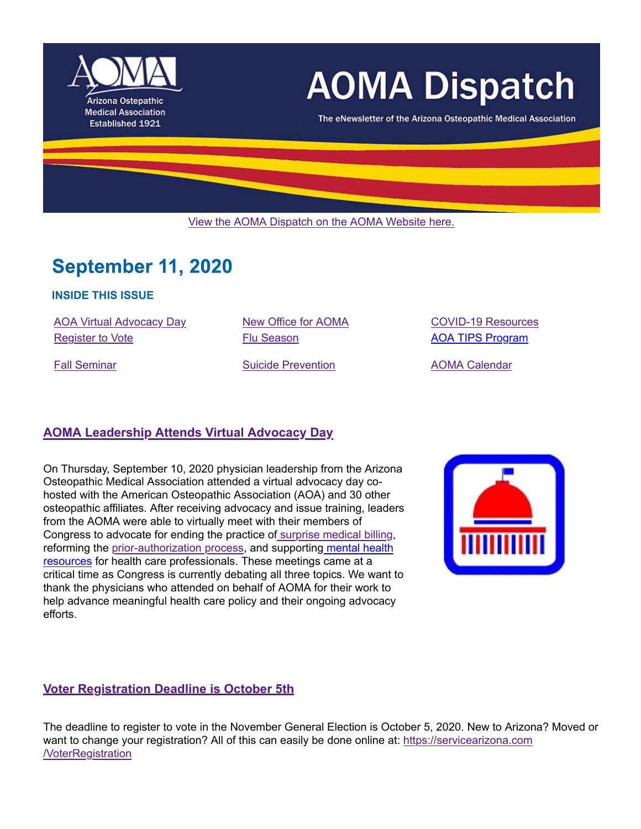

# **AOMA Dispatch**

The eNewsletter of the Arizona Osteopathic Medical Association

View the AOMA Dispatch on the AOMA Website here.

## **September 11, 2020**

### **INSIDE THIS ISSUE**

AOA Virtual Advocacy Day New Office for AOMA COVID-19 Resources Register to Vote **Flu Season Flu Season** AOA TIPS Program

Fall Seminar **Suicide Prevention** AOMA Calendar

## **AOMA Leadership Attends Virtual Advocacy Day**

On Thursday, September 10, 2020 physician leadership from the Arizona Osteopathic Medical Association attended a virtual advocacy day cohosted with the American Osteopathic Association (AOA) and 30 other osteopathic affiliates. After receiving advocacy and issue training, leaders from the AOMA were able to virtually meet with their members of Congress to advocate for ending the practice of surprise medical billing, reforming the prior-authorization process, and supporting mental health resources for health care professionals. These meetings came at a critical time as Congress is currently debating all three topics. We want to thank the physicians who attended on behalf of AOMA for their work to help advance meaningful health care policy and their ongoing advocacy efforts.



### **Voter Registration Deadline is October 5th**

The deadline to register to vote in the November General Election is October 5, 2020. New to Arizona? Moved or want to change your registration? All of this can easily be done online at: https://servicearizona.com /VoterRegistration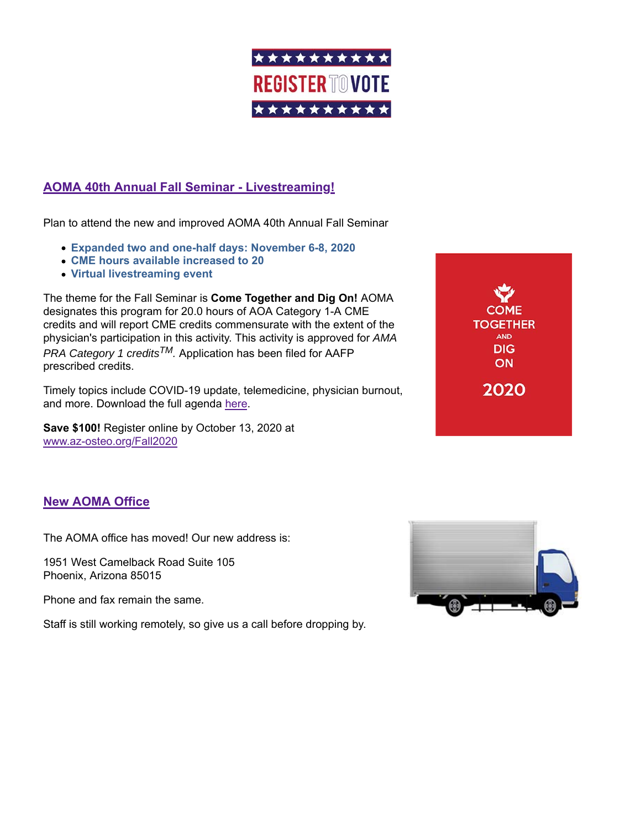

## **AOMA 40th Annual Fall Seminar - Livestreaming!**

Plan to attend the new and improved AOMA 40th Annual Fall Seminar

- **Expanded two and one-half days: November 6-8, 2020**
- **CME hours available increased to 20**
- **Virtual livestreaming event**

The theme for the Fall Seminar is **Come Together and Dig On!** AOMA designates this program for 20.0 hours of AOA Category 1-A CME credits and will report CME credits commensurate with the extent of the physician's participation in this activity. This activity is approved for *AMA PRA Category 1 creditsTM.* Application has been filed for AAFP prescribed credits.

Timely topics include COVID-19 update, telemedicine, physician burnout, and more. Download the full agenda here.

**Save \$100!** Register online by October 13, 2020 at www.az-osteo.org/Fall2020

**COME TOGETHER AND DIG** ON 2020

## **New AOMA Office**

The AOMA office has moved! Our new address is:

1951 West Camelback Road Suite 105 Phoenix, Arizona 85015

Phone and fax remain the same.

Staff is still working remotely, so give us a call before dropping by.

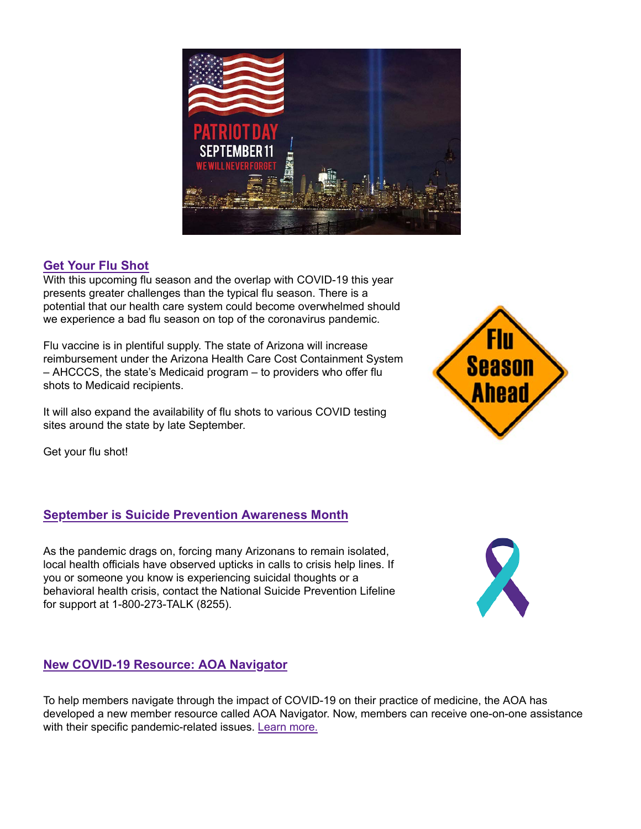

## **Get Your Flu Shot**

With this upcoming flu season and the overlap with COVID-19 this year presents greater challenges than the typical flu season. There is a potential that our health care system could become overwhelmed should we experience a bad flu season on top of the coronavirus pandemic.

Flu vaccine is in plentiful supply. The state of Arizona will increase reimbursement under the Arizona Health Care Cost Containment System – AHCCCS, the state's Medicaid program – to providers who offer flu shots to Medicaid recipients.

It will also expand the availability of flu shots to various COVID testing sites around the state by late September.

Get your flu shot!

## **September is Suicide Prevention Awareness Month**

As the pandemic drags on, forcing many Arizonans to remain isolated, local health officials have observed upticks in calls to crisis help lines. If you or someone you know is experiencing suicidal thoughts or a behavioral health crisis, contact the National Suicide Prevention Lifeline for support at 1-800-273-TALK (8255).

## **New COVID-19 Resource: AOA Navigator**

To help members navigate through the impact of COVID-19 on their practice of medicine, the AOA has developed a new member resource called AOA Navigator. Now, members can receive one-on-one assistance with their specific pandemic-related issues. Learn more.



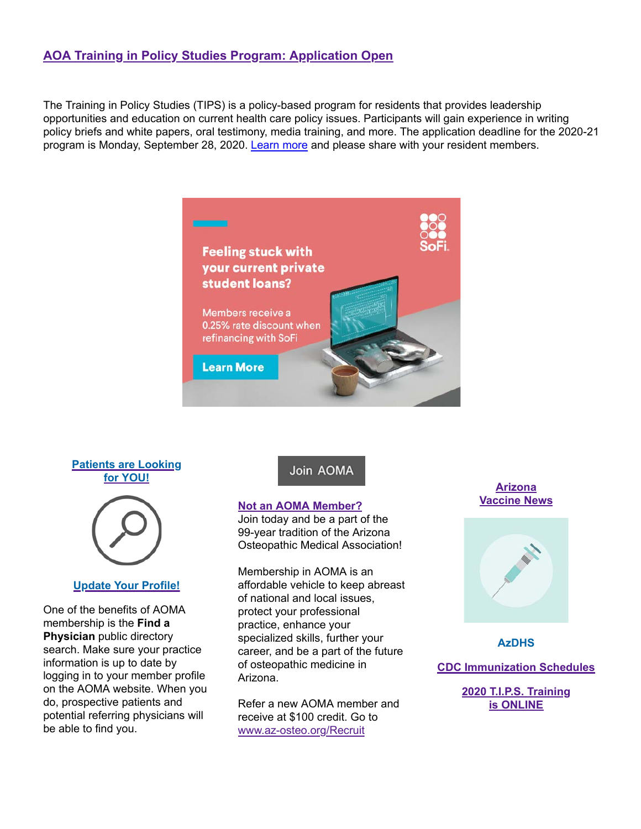## **AOA Training in Policy Studies Program: Application Open**

The Training in Policy Studies (TIPS) is a policy-based program for residents that provides leadership opportunities and education on current health care policy issues. Participants will gain experience in writing policy briefs and white papers, oral testimony, media training, and more. The application deadline for the 2020-21 program is Monday, September 28, 2020. Learn more and please share with your resident members.



#### **Patients are Looking for YOU!**



#### **Update Your Profile!**

One of the benefits of AOMA membership is the **Find a Physician** public directory search. Make sure your practice information is up to date by logging in to your member profile on the AOMA website. When you do, prospective patients and potential referring physicians will be able to find you.

### Join AOMA

#### **Not an AOMA Member?**

Join today and be a part of the 99-year tradition of the Arizona Osteopathic Medical Association!

Membership in AOMA is an affordable vehicle to keep abreast of national and local issues, protect your professional practice, enhance your specialized skills, further your career, and be a part of the future of osteopathic medicine in Arizona.

Refer a new AOMA member and receive at \$100 credit. Go to www.az-osteo.org/Recruit

#### **Arizona Vaccine News**



**AzDHS**

**CDC Immunization Schedules**

**2020 T.I.P.S. Training is ONLINE**